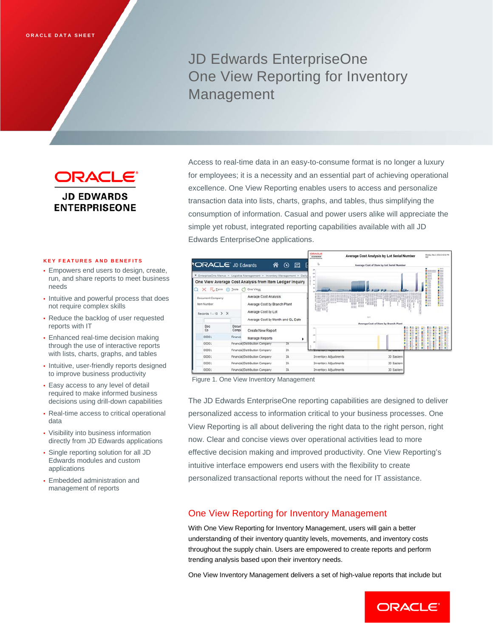# JD Edwards EnterpriseOne One View Reporting for Inventory Management

ORACLE® **JD EDWARDS ENTERPRISEONE** 

#### **KEY FEATURES AND BENEFITS**

- Empowers end users to design, create, run, and share reports to meet business needs
- Intuitive and powerful process that does not require complex skills
- Reduce the backlog of user requested reports with IT
- Enhanced real-time decision making through the use of interactive reports with lists, charts, graphs, and tables
- Intuitive, user-friendly reports designed to improve business productivity
- Easy access to any level of detail required to make informed business decisions using drill-down capabilities
- Real-time access to critical operational data
- Visibility into business information directly from JD Edwards applications
- Single reporting solution for all JD Edwards modules and custom applications
- Embedded administration and management of reports

Access to real-time data in an easy-to-consume format is no longer a luxury for employees; it is a necessity and an essential part of achieving operational excellence. One View Reporting enables users to access and personalize transaction data into lists, charts, graphs, and tables, thus simplifying the consumption of information. Casual and power users alike will appreciate the simple yet robust, integrated reporting capabilities available with all JD Edwards EnterpriseOne applications.



Figure 1. One View Inventory Management

The JD Edwards EnterpriseOne reporting capabilities are designed to deliver personalized access to information critical to your business processes. One View Reporting is all about delivering the right data to the right person, right now. Clear and concise views over operational activities lead to more effective decision making and improved productivity. One View Reporting's intuitive interface empowers end users with the flexibility to create personalized transactional reports without the need for IT assistance.

## One View Reporting for Inventory Management

With One View Reporting for Inventory Management, users will gain a better understanding of their inventory quantity levels, movements, and inventory costs throughout the supply chain. Users are empowered to create reports and perform trending analysis based upon their inventory needs.

One View Inventory Management delivers a set of high-value reports that include but